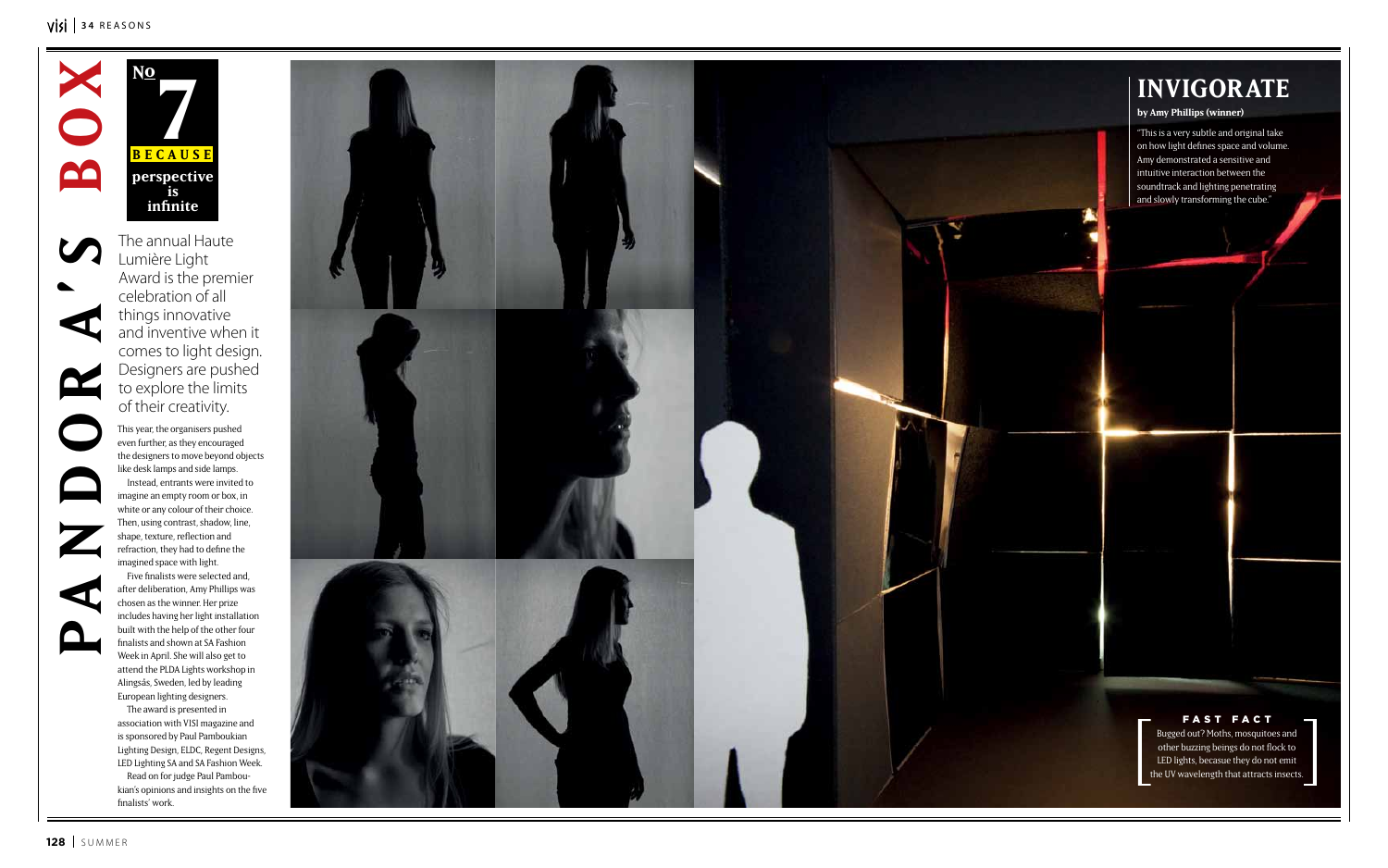**7 Because No perspective is infinite**

#### VISI<sup>34</sup> REASONS



 $\mathbf{C}$ 

This year, the organisers pushed even further, as they encouraged the designers to move beyond objects like desk lamps and side lamps.

Instead, entrants were invited to imagine an empty room or box, in white or any colour of their choice. Then, using contrast, shadow, line, shape, texture, reflection and refraction, they had to define the imagined space with light.

Five finalists were selected and, after deliberation, Amy Phillips was chosen as the winner. Her prize includes having her light installation built with the help of the other four finalists and shown at SA Fashion Week in April. She will also get to attend the PLDA Lights workshop in Alingsås, Sweden, led by leading European lighting designers.

The award is presented in association with VISI magazine and is sponsored by Paul Pamboukian Lighting Design, ELDC, Regent Designs, LED Lighting SA and SA Fashion Week.

Read on for judge Paul Pamboukian's opinions and insights on the five finalists' work.



### **i nvigorate**

#### **by Amy Phillips (winner)**

"This is a very subtle and original take on how light defines space and volume. Amy demonstrated a sensitive and intuitive interaction between the soundtrack and lighting penetrating and slowly transforming the cube."

The annual Haute Lumière Light Award is the premier celebration of all things innovative and inventive when it comes to light design. Designers are pushed to explore the limits of their creativity.

> Bugged out? Moths, mosquitoes and other buzzing beings do not flock to LED lights, becasue they do not emit the UV wavelength that attracts insects.

#### fast fact